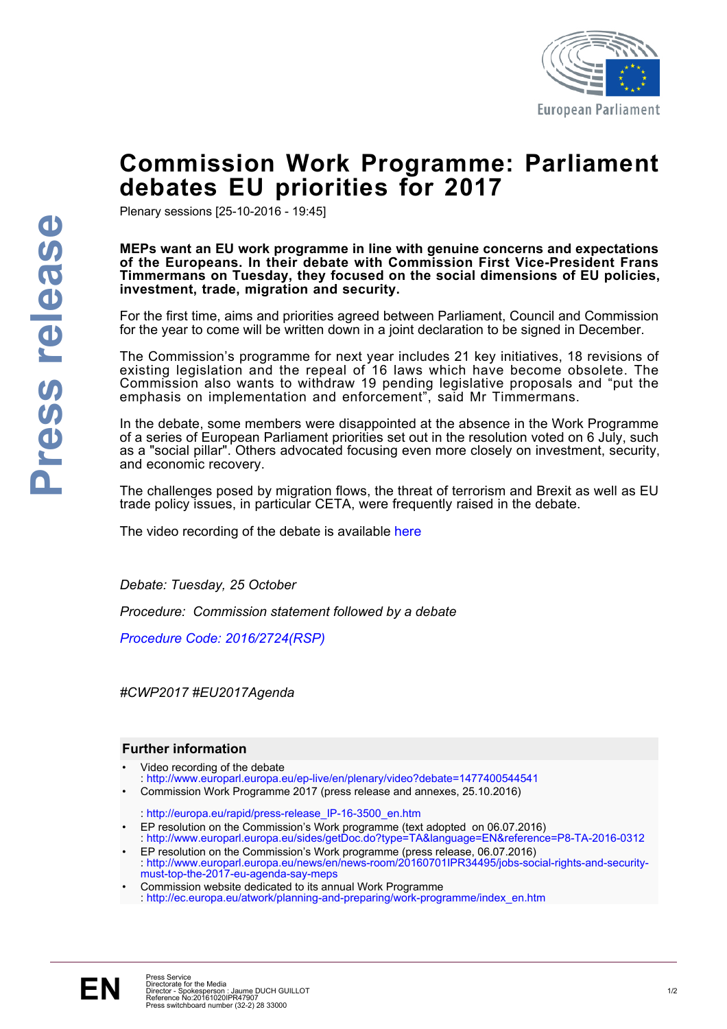

## **Commission Work Programme: Parliament debates EU priorities for 2017**

Plenary sessions [25-10-2016 - 19:45]

#### **MEPs want an EU work programme in line with genuine concerns and expectations of the Europeans. In their debate with Commission First Vice-President Frans Timmermans on Tuesday, they focused on the social dimensions of EU policies, investment, trade, migration and security.**

For the first time, aims and priorities agreed between Parliament, Council and Commission for the year to come will be written down in a joint declaration to be signed in December.

The Commission's programme for next year includes 21 key initiatives, 18 revisions of existing legislation and the repeal of 16 laws which have become obsolete. The Commission also wants to withdraw 19 pending legislative proposals and "put the emphasis on implementation and enforcement", said Mr Timmermans.

In the debate, some members were disappointed at the absence in the Work Programme of a series of European Parliament priorities set out in the resolution voted on 6 July, such as a "social pillar". Others advocated focusing even more closely on investment, security, and economic recovery.

The challenges posed by migration flows, the threat of terrorism and Brexit as well as EU trade policy issues, in particular CETA, were frequently raised in the debate.

The video recording of the debate is available [here](http://www.europarl.europa.eu/ep-live/en/plenary/video?debate=1477400544541)

*Debate: Tuesday, 25 October*

*Procedure: Commission statement followed by a debate*

*[Procedure Code: 2016/2724\(RSP\)](http://www.europarl.europa.eu/oeil/popups/ficheprocedure.do?reference=2016/2724%28RSP%29&l=en)*

*#CWP2017 #EU2017Agenda*

### **Further information**

- Video recording of the debate : <http://www.europarl.europa.eu/ep-live/en/plenary/video?debate=1477400544541>
- Commission Work Programme 2017 (press release and annexes, 25.10.2016)

: [http://europa.eu/rapid/press-release\\_IP-16-3500\\_en.htm](http://europa.eu/rapid/press-release_IP-16-3500_en.htm)

- EP resolution on the Commission's Work programme (text adopted on 06.07.2016) : <http://www.europarl.europa.eu/sides/getDoc.do?type=TA&language=EN&reference=P8-TA-2016-0312>
- EP resolution on the Commission's Work programme (press release, 06.07.2016) : [http://www.europarl.europa.eu/news/en/news-room/20160701IPR34495/jobs-social-rights-and-security](http://www.europarl.europa.eu/news/en/news-room/20160701IPR34495/jobs-social-rights-and-security-must-top-the-2017-eu-agenda-say-meps)[must-top-the-2017-eu-agenda-say-meps](http://www.europarl.europa.eu/news/en/news-room/20160701IPR34495/jobs-social-rights-and-security-must-top-the-2017-eu-agenda-say-meps)
- Commission website dedicated to its annual Work Programme : [http://ec.europa.eu/atwork/planning-and-preparing/work-programme/index\\_en.htm](http://ec.europa.eu/atwork/planning-and-preparing/work-programme/index_en.htm)